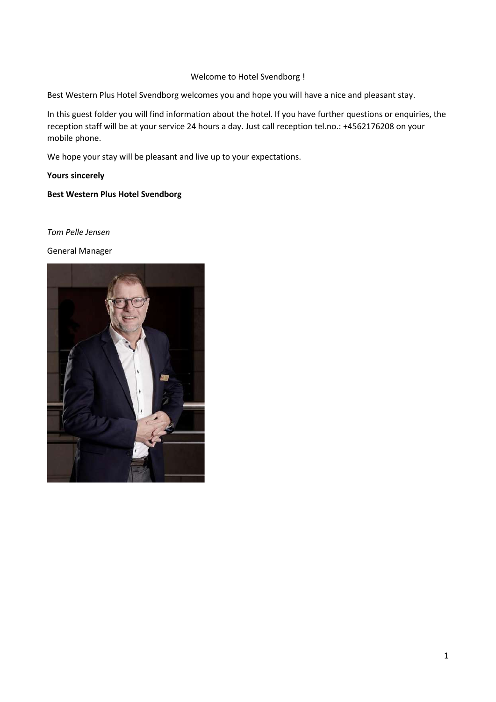#### Welcome to Hotel Svendborg !

Best Western Plus Hotel Svendborg welcomes you and hope you will have a nice and pleasant stay.

In this guest folder you will find information about the hotel. If you have further questions or enquiries, the reception staff will be at your service 24 hours a day. Just call reception tel.no.: +4562176208 on your mobile phone.

We hope your stay will be pleasant and live up to your expectations.

**Yours sincerely** 

#### **Best Western Plus Hotel Svendborg**

*Tom Pelle Jensen*

General Manager

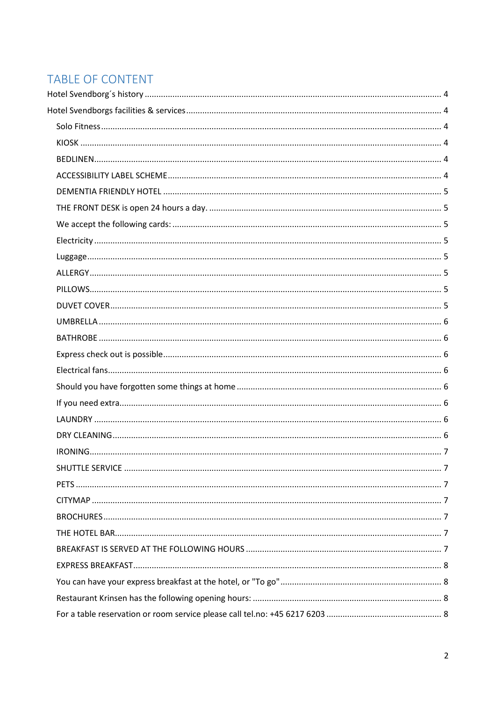# TABLE OF CONTENT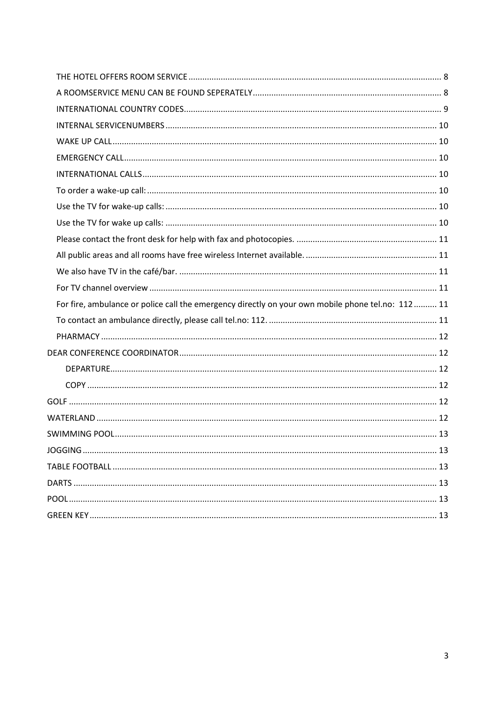| For fire, ambulance or police call the emergency directly on your own mobile phone tel.no: 112 11 |  |
|---------------------------------------------------------------------------------------------------|--|
|                                                                                                   |  |
|                                                                                                   |  |
|                                                                                                   |  |
|                                                                                                   |  |
|                                                                                                   |  |
|                                                                                                   |  |
|                                                                                                   |  |
|                                                                                                   |  |
|                                                                                                   |  |
|                                                                                                   |  |
|                                                                                                   |  |
|                                                                                                   |  |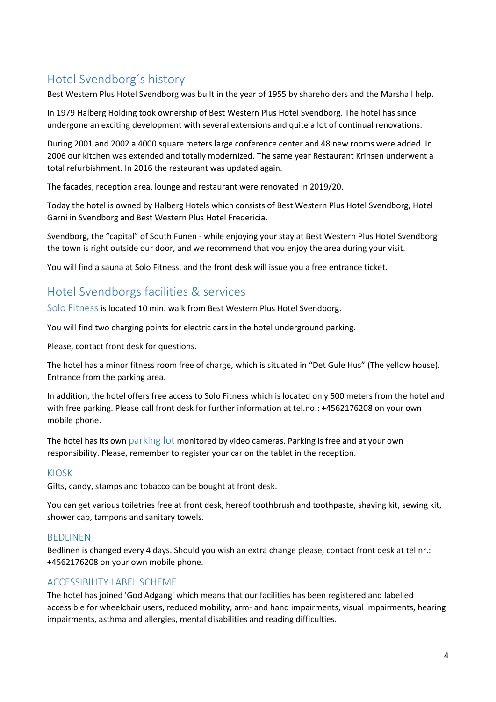# <span id="page-3-0"></span>Hotel Svendborg´s history

Best Western Plus Hotel Svendborg was built in the year of 1955 by shareholders and the Marshall help.

In 1979 Halberg Holding took ownership of Best Western Plus Hotel Svendborg. The hotel has since undergone an exciting development with several extensions and quite a lot of continual renovations.

During 2001 and 2002 a 4000 square meters large conference center and 48 new rooms were added. In 2006 our kitchen was extended and totally modernized. The same year Restaurant Krinsen underwent a total refurbishment. In 2016 the restaurant was updated again.

The facades, reception area, lounge and restaurant were renovated in 2019/20.

Today the hotel is owned by Halberg Hotels which consists of Best Western Plus Hotel Svendborg, Hotel Garni in Svendborg and Best Western Plus Hotel Fredericia.

Svendborg, the "capital" of South Funen - while enjoying your stay at Best Western Plus Hotel Svendborg the town is right outside our door, and we recommend that you enjoy the area during your visit.

You will find a sauna at Solo Fitness, and the front desk will issue you a free entrance ticket.

## <span id="page-3-1"></span>Hotel Svendborgs facilities & services

<span id="page-3-2"></span>Solo Fitness is located 10 min. walk from Best Western Plus Hotel Svendborg.

You will find two charging points for electric cars in the hotel underground parking.

Please, contact front desk for questions.

The hotel has a minor fitness room free of charge, which is situated in "Det Gule Hus" (The yellow house). Entrance from the parking area.

In addition, the hotel offers free access to Solo Fitness which is located only 500 meters from the hotel and with free parking. Please call front desk for further information at tel.no.: +4562176208 on your own mobile phone.

The hotel has its own parking lot monitored by video cameras. Parking is free and at your own responsibility. Please, remember to register your car on the tablet in the reception.

#### <span id="page-3-3"></span>KIOSK

Gifts, candy, stamps and tobacco can be bought at front desk.

You can get various toiletries free at front desk, hereof toothbrush and toothpaste, shaving kit, sewing kit, shower cap, tampons and sanitary towels.

#### <span id="page-3-4"></span>BEDLINEN

Bedlinen is changed every 4 days. Should you wish an extra change please, contact front desk at tel.nr.: +4562176208 on your own mobile phone.

#### <span id="page-3-5"></span>ACCESSIBILITY LABEL SCHEME

The hotel has joined 'God Adgang' which means that our facilities has been registered and labelled accessible for wheelchair users, reduced mobility, arm- and hand impairments, visual impairments, hearing impairments, asthma and allergies, mental disabilities and reading difficulties.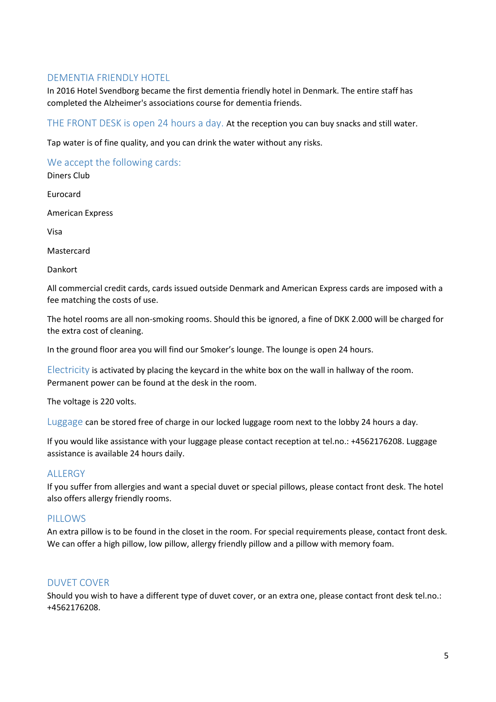## <span id="page-4-0"></span>DEMENTIA FRIENDLY HOTEL

In 2016 Hotel Svendborg became the first dementia friendly hotel in Denmark. The entire staff has completed the Alzheimer's associations course for dementia friends.

<span id="page-4-1"></span>THE FRONT DESK is open 24 hours a day. At the reception you can buy snacks and still water.

Tap water is of fine quality, and you can drink the water without any risks.

<span id="page-4-2"></span>We accept the following cards:

Diners Club

Eurocard

American Express

Visa

Mastercard

Dankort

All commercial credit cards, cards issued outside Denmark and American Express cards are imposed with a fee matching the costs of use.

The hotel rooms are all non-smoking rooms. Should this be ignored, a fine of DKK 2.000 will be charged for the extra cost of cleaning.

In the ground floor area you will find our Smoker's lounge. The lounge is open 24 hours.

<span id="page-4-3"></span> $E$  ectricity is activated by placing the keycard in the white box on the wall in hallway of the room. Permanent power can be found at the desk in the room.

The voltage is 220 volts.

<span id="page-4-4"></span>Luggage can be stored free of charge in our locked luggage room next to the lobby 24 hours a day.

If you would like assistance with your luggage please contact reception at tel.no.: +4562176208. Luggage assistance is available 24 hours daily.

## <span id="page-4-5"></span>**ALLERGY**

If you suffer from allergies and want a special duvet or special pillows, please contact front desk. The hotel also offers allergy friendly rooms.

#### <span id="page-4-6"></span>PILLOWS

An extra pillow is to be found in the closet in the room. For special requirements please, contact front desk. We can offer a high pillow, low pillow, allergy friendly pillow and a pillow with memory foam.

## <span id="page-4-7"></span>DUVET COVER

Should you wish to have a different type of duvet cover, or an extra one, please contact front desk tel.no.: +4562176208.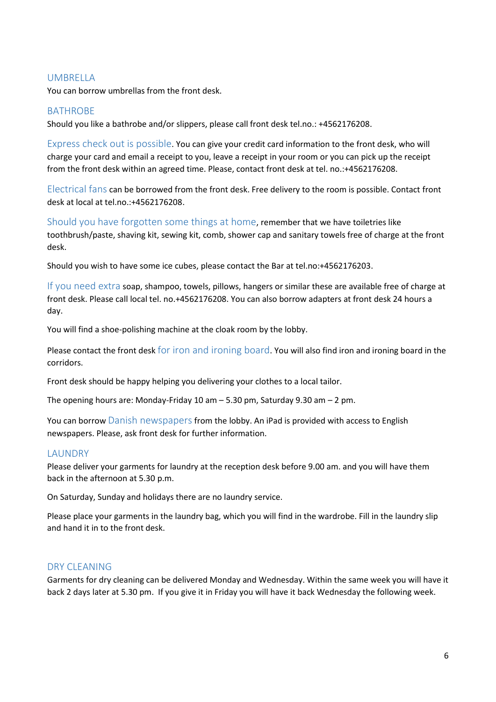### <span id="page-5-0"></span>**UMBRELLA**

You can borrow umbrellas from the front desk.

### <span id="page-5-1"></span>BATHROBE

Should you like a bathrobe and/or slippers, please call front desk tel.no.: +4562176208.

<span id="page-5-2"></span>Express check out is possible. You can give your credit card information to the front desk, who will charge your card and email a receipt to you, leave a receipt in your room or you can pick up the receipt from the front desk within an agreed time. Please, contact front desk at tel. no.:+4562176208.

<span id="page-5-3"></span>Electrical fans can be borrowed from the front desk. Free delivery to the room is possible. Contact front desk at local at tel.no.:+4562176208.

<span id="page-5-4"></span>Should you have forgotten some things at home, remember that we have toiletries like toothbrush/paste, shaving kit, sewing kit, comb, shower cap and sanitary towels free of charge at the front desk.

Should you wish to have some ice cubes, please contact the Bar at tel.no:+4562176203.

<span id="page-5-5"></span>If you need extra soap, shampoo, towels, pillows, hangers or similar these are available free of charge at front desk. Please call local tel. no.+4562176208. You can also borrow adapters at front desk 24 hours a day.

You will find a shoe-polishing machine at the cloak room by the lobby.

Please contact the front desk for iron and ironing board. You will also find iron and ironing board in the corridors.

Front desk should be happy helping you delivering your clothes to a local tailor.

The opening hours are: Monday-Friday 10 am – 5.30 pm, Saturday 9.30 am – 2 pm.

You can borrow Danish newspapers from the lobby. An iPad is provided with access to English newspapers. Please, ask front desk for further information.

#### <span id="page-5-6"></span>**LAUNDRY**

Please deliver your garments for laundry at the reception desk before 9.00 am. and you will have them back in the afternoon at 5.30 p.m.

On Saturday, Sunday and holidays there are no laundry service.

Please place your garments in the laundry bag, which you will find in the wardrobe. Fill in the laundry slip and hand it in to the front desk.

#### <span id="page-5-7"></span>DRY CLEANING

Garments for dry cleaning can be delivered Monday and Wednesday. Within the same week you will have it back 2 days later at 5.30 pm. If you give it in Friday you will have it back Wednesday the following week.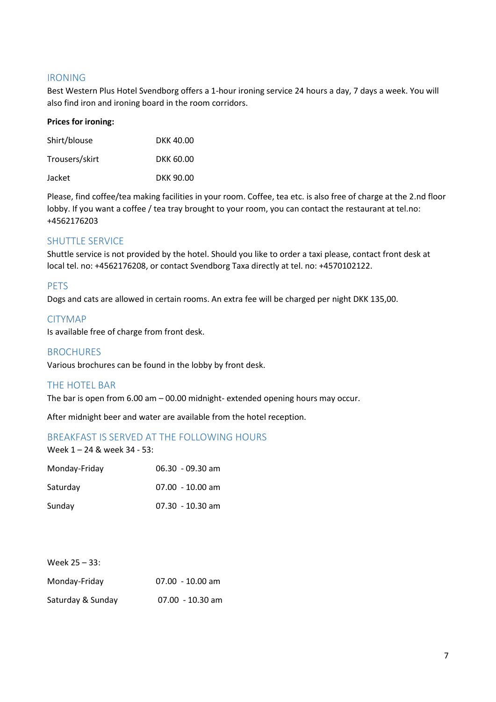#### <span id="page-6-0"></span>IRONING

Best Western Plus Hotel Svendborg offers a 1-hour ironing service 24 hours a day, 7 days a week. You will also find iron and ironing board in the room corridors.

#### **Prices for ironing:**

| Shirt/blouse   | DKK 40.00 |
|----------------|-----------|
| Trousers/skirt | DKK 60.00 |
| Jacket         | DKK 90.00 |

Please, find coffee/tea making facilities in your room. Coffee, tea etc. is also free of charge at the 2.nd floor lobby. If you want a coffee / tea tray brought to your room, you can contact the restaurant at tel.no: +4562176203

#### <span id="page-6-1"></span>SHUTTLE SERVICE

Shuttle service is not provided by the hotel. Should you like to order a taxi please, contact front desk at local tel. no: +4562176208, or contact Svendborg Taxa directly at tel. no: +4570102122.

#### <span id="page-6-2"></span>PETS

Dogs and cats are allowed in certain rooms. An extra fee will be charged per night DKK 135,00.

#### <span id="page-6-3"></span>CITYMAP

Is available free of charge from front desk.

#### <span id="page-6-4"></span>**BROCHURES**

Various brochures can be found in the lobby by front desk.

#### <span id="page-6-5"></span>THE HOTEL BAR

The bar is open from 6.00 am – 00.00 midnight- extended opening hours may occur.

After midnight beer and water are available from the hotel reception.

#### <span id="page-6-6"></span>BREAKFAST IS SERVED AT THE FOLLOWING HOURS

Week 1 – 24 & week 34 - 53:

| Monday-Friday | $06.30 - 09.30$ am |
|---------------|--------------------|
| Saturday      | $07.00 - 10.00$ am |
| Sunday        | $07.30 - 10.30$ am |

| Week 25 - 33:     |                    |
|-------------------|--------------------|
| Monday-Friday     | $07.00 - 10.00$ am |
| Saturday & Sunday | $07.00 - 10.30$ am |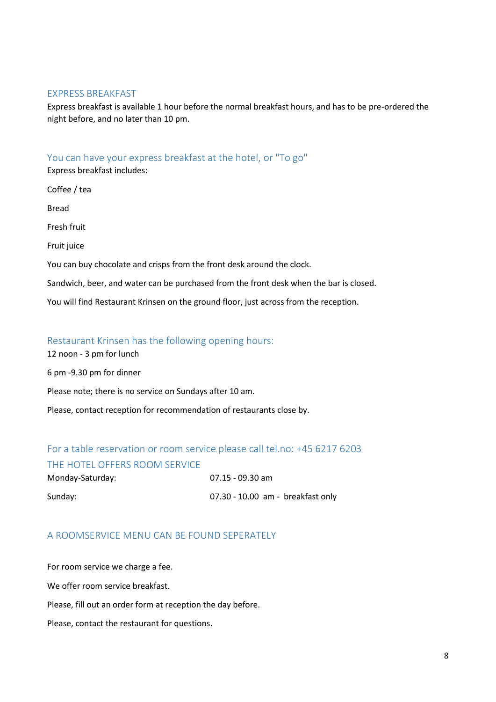#### <span id="page-7-0"></span>EXPRESS BREAKFAST

Express breakfast is available 1 hour before the normal breakfast hours, and has to be pre-ordered the night before, and no later than 10 pm.

#### <span id="page-7-1"></span>You can have your express breakfast at the hotel, or "To go"

Express breakfast includes:

Coffee / tea Bread Fresh fruit Fruit juice You can buy chocolate and crisps from the front desk around the clock. Sandwich, beer, and water can be purchased from the front desk when the bar is closed. You will find Restaurant Krinsen on the ground floor, just across from the reception.

#### <span id="page-7-2"></span>Restaurant Krinsen has the following opening hours:

12 noon - 3 pm for lunch 6 pm -9.30 pm for dinner Please note; there is no service on Sundays after 10 am. Please, contact reception for recommendation of restaurants close by.

## <span id="page-7-4"></span><span id="page-7-3"></span>For a table reservation or room service please call tel.no: +45 6217 6203 THE HOTEL OFFERS ROOM SERVICE

| Monday-Saturday: | 07.15 - 09.30 am                    |
|------------------|-------------------------------------|
| Sunday:          | $07.30 - 10.00$ am - breakfast only |

## <span id="page-7-5"></span>A ROOMSERVICE MENU CAN BE FOUND SEPERATELY

For room service we charge a fee. We offer room service breakfast. Please, fill out an order form at reception the day before. Please, contact the restaurant for questions.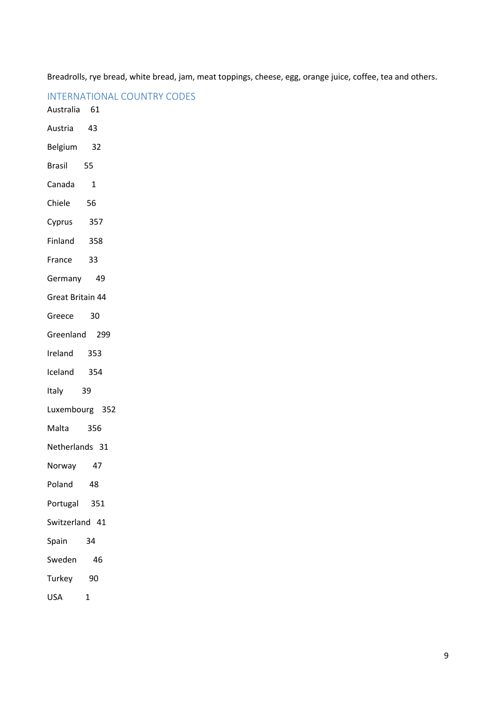Breadrolls, rye bread, white bread, jam, meat toppings, cheese, egg, orange juice, coffee, tea and others.

<span id="page-8-0"></span>

| Australia 61     |      |  |
|------------------|------|--|
| Austria          | 43   |  |
| Belgium          | 32   |  |
| <b>Brasil</b>    | 55   |  |
| Canada           | 1    |  |
| Chiele           | 56   |  |
| Cyprus           | 357  |  |
| Finland          | 358  |  |
| France           | - 33 |  |
| Germany          | 49   |  |
| Great Britain 44 |      |  |
| Greece 30        |      |  |
| Greenland 299    |      |  |
| Ireland 353      |      |  |
| Iceland 354      |      |  |
| Italy 39         |      |  |
| Luxembourg 352   |      |  |
| Malta            | 356  |  |
| Netherlands 31   |      |  |
| Norway           | 47   |  |
| Poland           | 48   |  |
| Portugal         | 351  |  |
| Switzerland 41   |      |  |
| Spain            | 34   |  |
| Sweden           | 46   |  |
| Turkey           | 90   |  |
|                  |      |  |

USA 1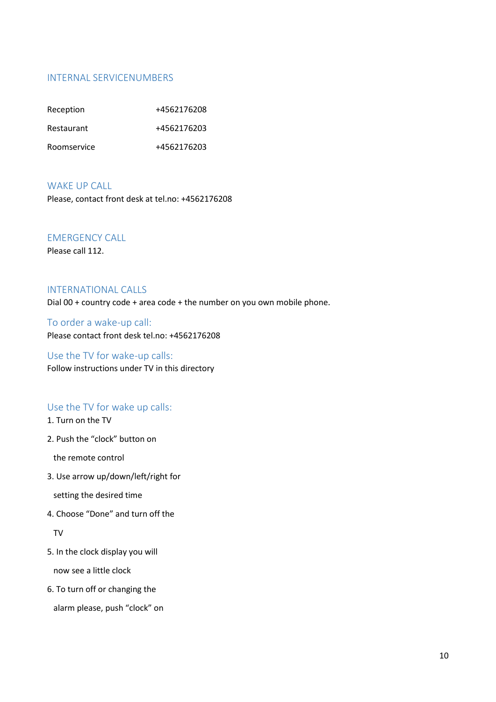### <span id="page-9-0"></span>INTERNAL SERVICENUMBERS

| Reception   | +4562176208 |
|-------------|-------------|
| Restaurant  | +4562176203 |
| Roomservice | +4562176203 |

#### <span id="page-9-1"></span>WAKE UP CALL

Please, contact front desk at tel.no: +4562176208

### <span id="page-9-2"></span>EMERGENCY CALL

Please call 112.

## <span id="page-9-3"></span>INTERNATIONAL CALLS

Dial 00 + country code + area code + the number on you own mobile phone.

<span id="page-9-4"></span>To order a wake-up call: Please contact front desk tel.no: +4562176208

## <span id="page-9-5"></span>Use the TV for wake-up calls: Follow instructions under TV in this directory

### <span id="page-9-6"></span>Use the TV for wake up calls:

### 1. Turn on the TV

2. Push the "clock" button on

the remote control

3. Use arrow up/down/left/right for

setting the desired time

4. Choose "Done" and turn off the

TV

5. In the clock display you will

now see a little clock

6. To turn off or changing the

alarm please, push "clock" on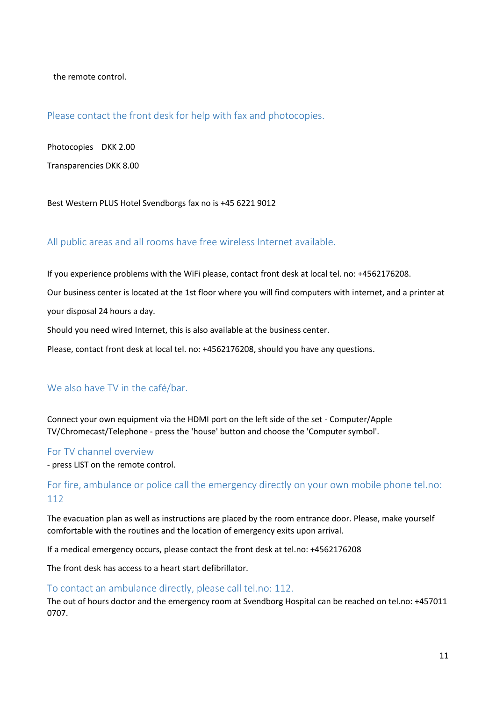the remote control.

#### <span id="page-10-0"></span>Please contact the front desk for help with fax and photocopies.

Photocopies DKK 2.00

Transparencies DKK 8.00

Best Western PLUS Hotel Svendborgs fax no is +45 6221 9012

### <span id="page-10-1"></span>All public areas and all rooms have free wireless Internet available.

If you experience problems with the WiFi please, contact front desk at local tel. no: +4562176208.

Our business center is located at the 1st floor where you will find computers with internet, and a printer at

your disposal 24 hours a day.

Should you need wired Internet, this is also available at the business center.

Please, contact front desk at local tel. no: +4562176208, should you have any questions.

#### <span id="page-10-2"></span>We also have TV in the café/bar.

Connect your own equipment via the HDMI port on the left side of the set - Computer/Apple TV/Chromecast/Telephone - press the 'house' button and choose the 'Computer symbol'.

#### <span id="page-10-3"></span>For TV channel overview

- press LIST on the remote control.

## <span id="page-10-4"></span>For fire, ambulance or police call the emergency directly on your own mobile phone tel.no: 112

The evacuation plan as well as instructions are placed by the room entrance door. Please, make yourself comfortable with the routines and the location of emergency exits upon arrival.

If a medical emergency occurs, please contact the front desk at tel.no: +4562176208

The front desk has access to a heart start defibrillator.

#### <span id="page-10-5"></span>To contact an ambulance directly, please call tel.no: 112.

The out of hours doctor and the emergency room at Svendborg Hospital can be reached on tel.no: +457011 0707.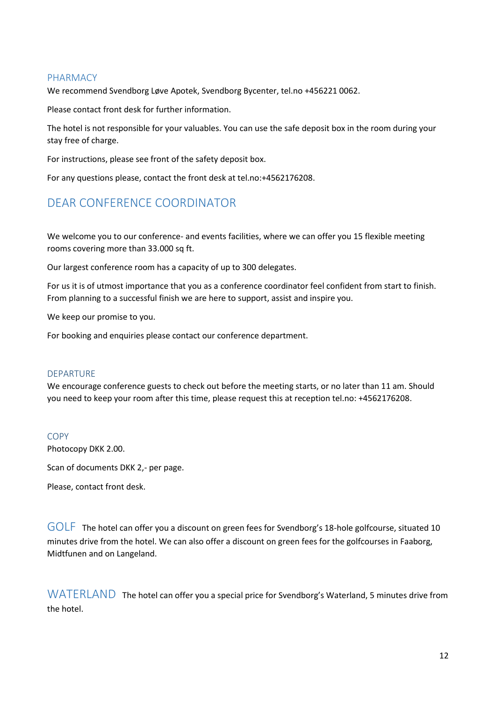#### <span id="page-11-0"></span>PHARMACY

We recommend Svendborg Løve Apotek, Svendborg Bycenter, tel.no +456221 0062.

Please contact front desk for further information.

The hotel is not responsible for your valuables. You can use the safe deposit box in the room during your stay free of charge.

For instructions, please see front of the safety deposit box.

For any questions please, contact the front desk at tel.no:+4562176208.

## <span id="page-11-1"></span>DEAR CONFERENCE COORDINATOR

We welcome you to our conference- and events facilities, where we can offer you 15 flexible meeting rooms covering more than 33.000 sq ft.

Our largest conference room has a capacity of up to 300 delegates.

For us it is of utmost importance that you as a conference coordinator feel confident from start to finish. From planning to a successful finish we are here to support, assist and inspire you.

We keep our promise to you.

For booking and enquiries please contact our conference department.

#### <span id="page-11-2"></span>DEPARTURE

We encourage conference guests to check out before the meeting starts, or no later than 11 am. Should you need to keep your room after this time, please request this at reception tel.no: +4562176208.

#### <span id="page-11-3"></span>COPY Photocopy DKK 2.00.

Scan of documents DKK 2,- per page.

Please, contact front desk.

<span id="page-11-4"></span>GOLF The hotel can offer you a discount on green fees for Svendborg's 18-hole golfcourse, situated 10 minutes drive from the hotel. We can also offer a discount on green fees for the golfcourses in Faaborg, Midtfunen and on Langeland.

<span id="page-11-5"></span>WATERLAND The hotel can offer you a special price for Svendborg's Waterland, 5 minutes drive from the hotel.